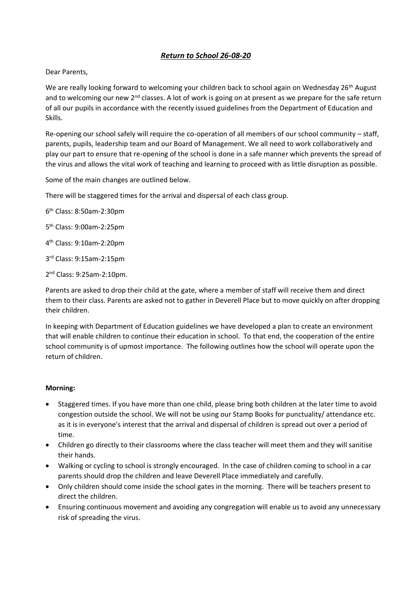# *Return to School 26-08-20*

### Dear Parents,

We are really looking forward to welcoming your children back to school again on Wednesday 26<sup>th</sup> August and to welcoming our new  $2^{nd}$  classes. A lot of work is going on at present as we prepare for the safe return of all our pupils in accordance with the recently issued guidelines from the Department of Education and Skills.

Re-opening our school safely will require the co-operation of all members of our school community – staff, parents, pupils, leadership team and our Board of Management. We all need to work collaboratively and play our part to ensure that re-opening of the school is done in a safe manner which prevents the spread of the virus and allows the vital work of teaching and learning to proceed with as little disruption as possible.

Some of the main changes are outlined below.

There will be staggered times for the arrival and dispersal of each class group.

6 th Class: 8:50am-2:30pm

5 th Class: 9:00am-2:25pm

4 th Class: 9:10am-2:20pm

3 rd Class: 9:15am-2:15pm

2 nd Class: 9:25am-2:10pm.

Parents are asked to drop their child at the gate, where a member of staff will receive them and direct them to their class. Parents are asked not to gather in Deverell Place but to move quickly on after dropping their children.

In keeping with Department of Education guidelines we have developed a plan to create an environment that will enable children to continue their education in school. To that end, the cooperation of the entire school community is of upmost importance. The following outlines how the school will operate upon the return of children.

#### **Morning:**

- Staggered times. If you have more than one child, please bring both children at the later time to avoid congestion outside the school. We will not be using our Stamp Books for punctuality/ attendance etc. as it is in everyone's interest that the arrival and dispersal of children is spread out over a period of time.
- Children go directly to their classrooms where the class teacher will meet them and they will sanitise their hands.
- Walking or cycling to school is strongly encouraged. In the case of children coming to school in a car parents should drop the children and leave Deverell Place immediately and carefully.
- Only children should come inside the school gates in the morning. There will be teachers present to direct the children.
- Ensuring continuous movement and avoiding any congregation will enable us to avoid any unnecessary risk of spreading the virus.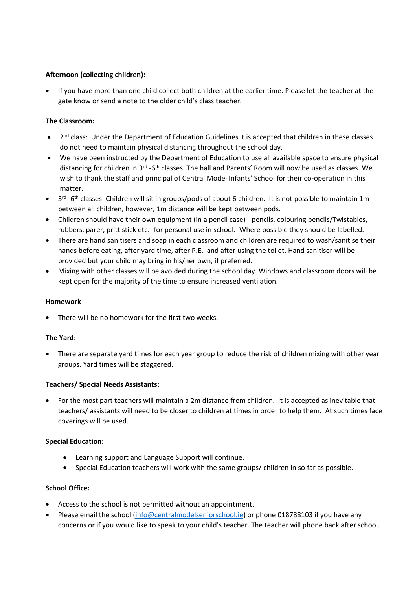# **Afternoon (collecting children):**

• If you have more than one child collect both children at the earlier time. Please let the teacher at the gate know or send a note to the older child's class teacher.

### **The Classroom:**

- 2<sup>nd</sup> class: Under the Department of Education Guidelines it is accepted that children in these classes do not need to maintain physical distancing throughout the school day.
- We have been instructed by the Department of Education to use all available space to ensure physical distancing for children in 3<sup>rd</sup> -6<sup>th</sup> classes. The hall and Parents' Room will now be used as classes. We wish to thank the staff and principal of Central Model Infants' School for their co-operation in this matter.
- 3<sup>rd</sup> -6<sup>th</sup> classes: Children will sit in groups/pods of about 6 children. It is not possible to maintain 1m between all children, however, 1m distance will be kept between pods.
- Children should have their own equipment (in a pencil case) pencils, colouring pencils/Twistables, rubbers, parer, pritt stick etc. -for personal use in school. Where possible they should be labelled.
- There are hand sanitisers and soap in each classroom and children are required to wash/sanitise their hands before eating, after yard time, after P.E. and after using the toilet. Hand sanitiser will be provided but your child may bring in his/her own, if preferred.
- Mixing with other classes will be avoided during the school day. Windows and classroom doors will be kept open for the majority of the time to ensure increased ventilation.

#### **Homework**

• There will be no homework for the first two weeks.

#### **The Yard:**

• There are separate yard times for each year group to reduce the risk of children mixing with other year groups. Yard times will be staggered.

# **Teachers/ Special Needs Assistants:**

• For the most part teachers will maintain a 2m distance from children. It is accepted as inevitable that teachers/ assistants will need to be closer to children at times in order to help them. At such times face coverings will be used.

#### **Special Education:**

- Learning support and Language Support will continue.
- Special Education teachers will work with the same groups/ children in so far as possible.

#### **School Office:**

- Access to the school is not permitted without an appointment.
- Please email the school [\(info@centralmodelseniorschool.ie\)](mailto:info@centralmodelseniorschool.ie) or phone 018788103 if you have any concerns or if you would like to speak to your child's teacher. The teacher will phone back after school.